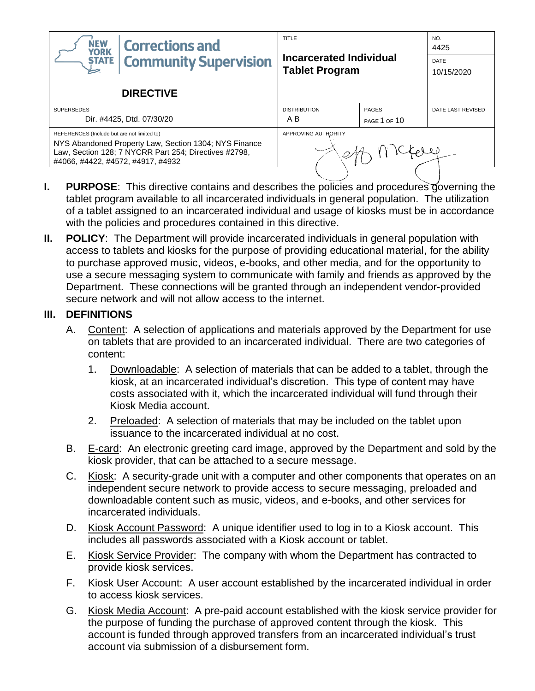| <b>NEW</b><br><b>Corrections and</b><br><b>YORK</b>                                                                                                                                                | TITLE                                            |              | NO.<br>4425        |
|----------------------------------------------------------------------------------------------------------------------------------------------------------------------------------------------------|--------------------------------------------------|--------------|--------------------|
| <b>Community Supervision</b><br><b>STATE</b>                                                                                                                                                       | Incarcerated Individual<br><b>Tablet Program</b> |              | DATE<br>10/15/2020 |
| <b>DIRECTIVE</b>                                                                                                                                                                                   |                                                  |              |                    |
| <b>SUPERSEDES</b>                                                                                                                                                                                  | <b>DISTRIBUTION</b>                              | <b>PAGES</b> | DATE LAST REVISED  |
| Dir. #4425, Dtd. 07/30/20                                                                                                                                                                          | A B                                              | PAGE 1 OF 10 |                    |
| REFERENCES (Include but are not limited to)<br>NYS Abandoned Property Law, Section 1304; NYS Finance<br>Law, Section 128; 7 NYCRR Part 254; Directives #2798,<br>#4066, #4422, #4572, #4917, #4932 | APPROVING AUTHORITY                              |              |                    |
|                                                                                                                                                                                                    |                                                  |              |                    |

- **I. PURPOSE**: This directive contains and describes the policies and procedures governing the tablet program available to all incarcerated individuals in general population. The utilization of a tablet assigned to an incarcerated individual and usage of kiosks must be in accordance with the policies and procedures contained in this directive.
- **II. POLICY**:The Department will provide incarcerated individuals in general population with access to tablets and kiosks for the purpose of providing educational material, for the ability to purchase approved music, videos, e-books, and other media, and for the opportunity to use a secure messaging system to communicate with family and friends as approved by the Department. These connections will be granted through an independent vendor-provided secure network and will not allow access to the internet.

### **III. DEFINITIONS**

- A. Content: A selection of applications and materials approved by the Department for use on tablets that are provided to an incarcerated individual. There are two categories of content:
	- 1. Downloadable: A selection of materials that can be added to a tablet, through the kiosk, at an incarcerated individual's discretion. This type of content may have costs associated with it, which the incarcerated individual will fund through their Kiosk Media account.
	- 2. Preloaded: A selection of materials that may be included on the tablet upon issuance to the incarcerated individual at no cost.
- B. E-card: An electronic greeting card image, approved by the Department and sold by the kiosk provider, that can be attached to a secure message.
- C. Kiosk: A security-grade unit with a computer and other components that operates on an independent secure network to provide access to secure messaging, preloaded and downloadable content such as music, videos, and e-books, and other services for incarcerated individuals.
- D. Kiosk Account Password: A unique identifier used to log in to a Kiosk account. This includes all passwords associated with a Kiosk account or tablet.
- E. Kiosk Service Provider: The company with whom the Department has contracted to provide kiosk services.
- F. Kiosk User Account: A user account established by the incarcerated individual in order to access kiosk services.
- G. Kiosk Media Account: A pre-paid account established with the kiosk service provider for the purpose of funding the purchase of approved content through the kiosk. This account is funded through approved transfers from an incarcerated individual's trust account via submission of a disbursement form.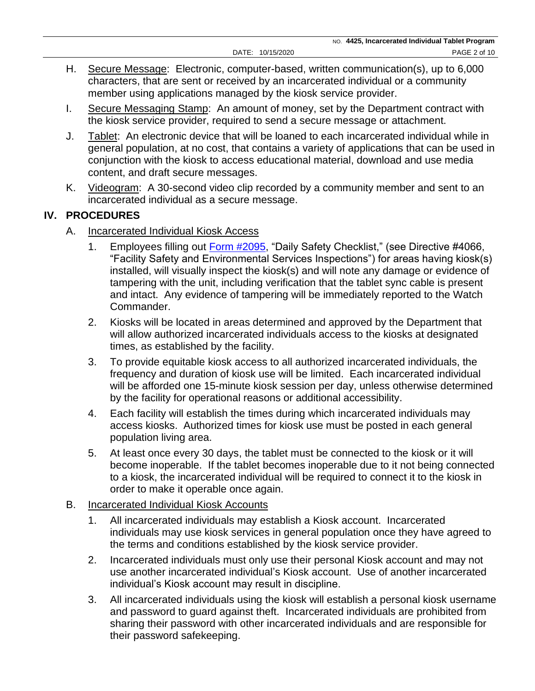- H. Secure Message: Electronic, computer-based, written communication(s), up to 6,000 characters, that are sent or received by an incarcerated individual or a community member using applications managed by the kiosk service provider.
- I. Secure Messaging Stamp: An amount of money, set by the Department contract with the kiosk service provider, required to send a secure message or attachment.
- J. Tablet: An electronic device that will be loaned to each incarcerated individual while in general population, at no cost, that contains a variety of applications that can be used in conjunction with the kiosk to access educational material, download and use media content, and draft secure messages.
- K. Videogram: A 30-second video clip recorded by a community member and sent to an incarcerated individual as a secure message.

# **IV. PROCEDURES**

- A. Incarcerated Individual Kiosk Access
	- 1. Employees filling out [Form #2095,](https://doccs.ny.gov/directives/Frm2095.pdf) "Daily Safety Checklist," (see Directive #4066, "Facility Safety and Environmental Services Inspections") for areas having kiosk(s) installed, will visually inspect the kiosk(s) and will note any damage or evidence of tampering with the unit, including verification that the tablet sync cable is present and intact. Any evidence of tampering will be immediately reported to the Watch Commander.
	- 2. Kiosks will be located in areas determined and approved by the Department that will allow authorized incarcerated individuals access to the kiosks at designated times, as established by the facility.
	- 3. To provide equitable kiosk access to all authorized incarcerated individuals, the frequency and duration of kiosk use will be limited. Each incarcerated individual will be afforded one 15-minute kiosk session per day, unless otherwise determined by the facility for operational reasons or additional accessibility.
	- 4. Each facility will establish the times during which incarcerated individuals may access kiosks. Authorized times for kiosk use must be posted in each general population living area.
	- 5. At least once every 30 days, the tablet must be connected to the kiosk or it will become inoperable. If the tablet becomes inoperable due to it not being connected to a kiosk, the incarcerated individual will be required to connect it to the kiosk in order to make it operable once again.

## B. Incarcerated Individual Kiosk Accounts

- 1. All incarcerated individuals may establish a Kiosk account. Incarcerated individuals may use kiosk services in general population once they have agreed to the terms and conditions established by the kiosk service provider.
- 2. Incarcerated individuals must only use their personal Kiosk account and may not use another incarcerated individual's Kiosk account. Use of another incarcerated individual's Kiosk account may result in discipline.
- 3. All incarcerated individuals using the kiosk will establish a personal kiosk username and password to guard against theft. Incarcerated individuals are prohibited from sharing their password with other incarcerated individuals and are responsible for their password safekeeping.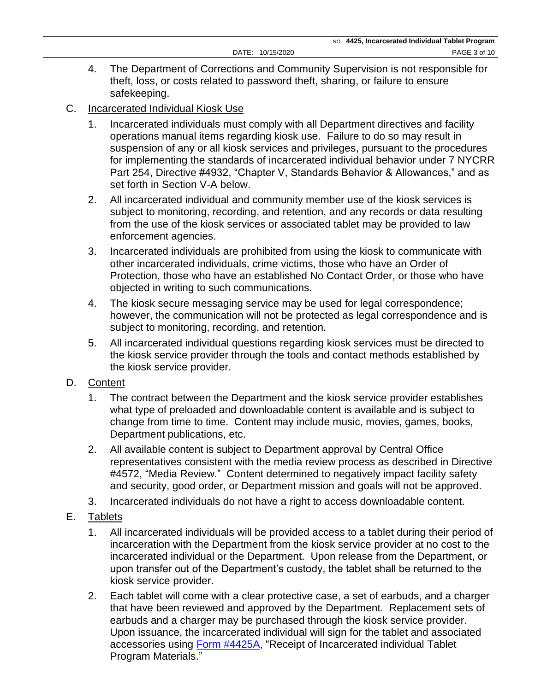- 4. The Department of Corrections and Community Supervision is not responsible for theft, loss, or costs related to password theft, sharing, or failure to ensure safekeeping.
- C. Incarcerated Individual Kiosk Use
	- 1. Incarcerated individuals must comply with all Department directives and facility operations manual items regarding kiosk use. Failure to do so may result in suspension of any or all kiosk services and privileges, pursuant to the procedures for implementing the standards of incarcerated individual behavior under 7 NYCRR Part 254, Directive #4932, "Chapter V, Standards Behavior & Allowances," and as set forth in Section V-A below.
	- 2. All incarcerated individual and community member use of the kiosk services is subject to monitoring, recording, and retention, and any records or data resulting from the use of the kiosk services or associated tablet may be provided to law enforcement agencies.
	- 3. Incarcerated individuals are prohibited from using the kiosk to communicate with other incarcerated individuals, crime victims, those who have an Order of Protection, those who have an established No Contact Order, or those who have objected in writing to such communications.
	- 4. The kiosk secure messaging service may be used for legal correspondence; however, the communication will not be protected as legal correspondence and is subject to monitoring, recording, and retention.
	- 5. All incarcerated individual questions regarding kiosk services must be directed to the kiosk service provider through the tools and contact methods established by the kiosk service provider.
- D. Content
	- 1. The contract between the Department and the kiosk service provider establishes what type of preloaded and downloadable content is available and is subject to change from time to time. Content may include music, movies, games, books, Department publications, etc.
	- 2. All available content is subject to Department approval by Central Office representatives consistent with the media review process as described in Directive #4572, "Media Review." Content determined to negatively impact facility safety and security, good order, or Department mission and goals will not be approved.
	- 3. Incarcerated individuals do not have a right to access downloadable content.
- E. Tablets
	- 1. All incarcerated individuals will be provided access to a tablet during their period of incarceration with the Department from the kiosk service provider at no cost to the incarcerated individual or the Department. Upon release from the Department, or upon transfer out of the Department's custody, the tablet shall be returned to the kiosk service provider.
	- 2. Each tablet will come with a clear protective case, a set of earbuds, and a charger that have been reviewed and approved by the Department. Replacement sets of earbuds and a charger may be purchased through the kiosk service provider. Upon issuance, the incarcerated individual will sign for the tablet and associated accessories using [Form #4425A,](https://doccs.ny.gov/directives/Frm4425A.pdf) "Receipt of Incarcerated individual Tablet Program Materials."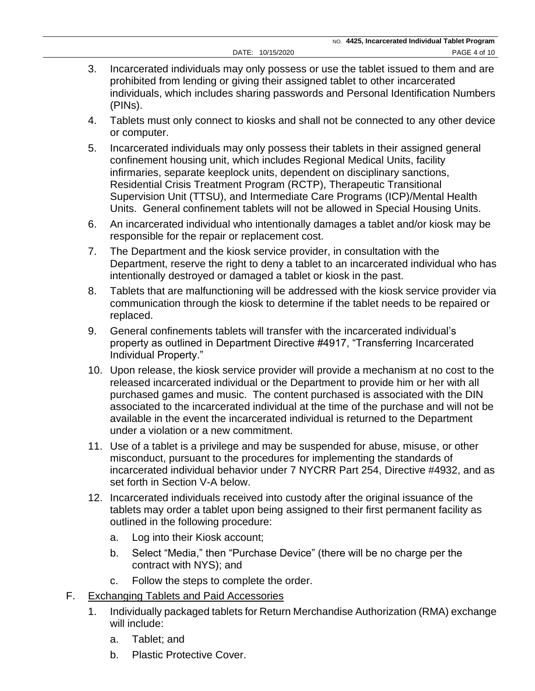- 3. Incarcerated individuals may only possess or use the tablet issued to them and are prohibited from lending or giving their assigned tablet to other incarcerated individuals, which includes sharing passwords and Personal Identification Numbers (PINs).
- 4. Tablets must only connect to kiosks and shall not be connected to any other device or computer.
- 5. Incarcerated individuals may only possess their tablets in their assigned general confinement housing unit, which includes Regional Medical Units, facility infirmaries, separate keeplock units, dependent on disciplinary sanctions, Residential Crisis Treatment Program (RCTP), Therapeutic Transitional Supervision Unit (TTSU), and Intermediate Care Programs (ICP)/Mental Health Units. General confinement tablets will not be allowed in Special Housing Units.
- 6. An incarcerated individual who intentionally damages a tablet and/or kiosk may be responsible for the repair or replacement cost.
- 7. The Department and the kiosk service provider, in consultation with the Department, reserve the right to deny a tablet to an incarcerated individual who has intentionally destroyed or damaged a tablet or kiosk in the past.
- 8. Tablets that are malfunctioning will be addressed with the kiosk service provider via communication through the kiosk to determine if the tablet needs to be repaired or replaced.
- 9. General confinements tablets will transfer with the incarcerated individual's property as outlined in Department Directive #4917, "Transferring Incarcerated Individual Property."
- 10. Upon release, the kiosk service provider will provide a mechanism at no cost to the released incarcerated individual or the Department to provide him or her with all purchased games and music. The content purchased is associated with the DIN associated to the incarcerated individual at the time of the purchase and will not be available in the event the incarcerated individual is returned to the Department under a violation or a new commitment.
- 11. Use of a tablet is a privilege and may be suspended for abuse, misuse, or other misconduct, pursuant to the procedures for implementing the standards of incarcerated individual behavior under 7 NYCRR Part 254, Directive #4932, and as set forth in Section V-A below.
- 12. Incarcerated individuals received into custody after the original issuance of the tablets may order a tablet upon being assigned to their first permanent facility as outlined in the following procedure:
	- a. Log into their Kiosk account;
	- b. Select "Media," then "Purchase Device" (there will be no charge per the contract with NYS); and
	- c. Follow the steps to complete the order.
- F. Exchanging Tablets and Paid Accessories
	- 1. Individually packaged tablets for Return Merchandise Authorization (RMA) exchange will include:
		- a. Tablet; and
		- b. Plastic Protective Cover.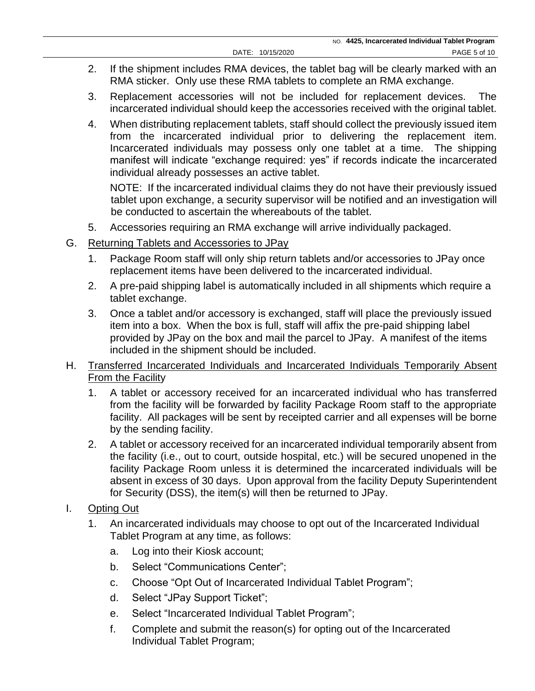- 2. If the shipment includes RMA devices, the tablet bag will be clearly marked with an RMA sticker. Only use these RMA tablets to complete an RMA exchange.
- 3. Replacement accessories will not be included for replacement devices. The incarcerated individual should keep the accessories received with the original tablet.
- 4. When distributing replacement tablets, staff should collect the previously issued item from the incarcerated individual prior to delivering the replacement item. Incarcerated individuals may possess only one tablet at a time. The shipping manifest will indicate "exchange required: yes" if records indicate the incarcerated individual already possesses an active tablet.

NOTE: If the incarcerated individual claims they do not have their previously issued tablet upon exchange, a security supervisor will be notified and an investigation will be conducted to ascertain the whereabouts of the tablet.

- 5. Accessories requiring an RMA exchange will arrive individually packaged.
- G. Returning Tablets and Accessories to JPay
	- 1. Package Room staff will only ship return tablets and/or accessories to JPay once replacement items have been delivered to the incarcerated individual.
	- 2. A pre-paid shipping label is automatically included in all shipments which require a tablet exchange.
	- 3. Once a tablet and/or accessory is exchanged, staff will place the previously issued item into a box. When the box is full, staff will affix the pre-paid shipping label provided by JPay on the box and mail the parcel to JPay. A manifest of the items included in the shipment should be included.
- H. Transferred Incarcerated Individuals and Incarcerated Individuals Temporarily Absent From the Facility
	- 1. A tablet or accessory received for an incarcerated individual who has transferred from the facility will be forwarded by facility Package Room staff to the appropriate facility. All packages will be sent by receipted carrier and all expenses will be borne by the sending facility.
	- 2. A tablet or accessory received for an incarcerated individual temporarily absent from the facility (i.e., out to court, outside hospital, etc.) will be secured unopened in the facility Package Room unless it is determined the incarcerated individuals will be absent in excess of 30 days. Upon approval from the facility Deputy Superintendent for Security (DSS), the item(s) will then be returned to JPay.
- I. Opting Out
	- 1. An incarcerated individuals may choose to opt out of the Incarcerated Individual Tablet Program at any time, as follows:
		- a. Log into their Kiosk account;
		- b. Select "Communications Center";
		- c. Choose "Opt Out of Incarcerated Individual Tablet Program";
		- d. Select "JPay Support Ticket";
		- e. Select "Incarcerated Individual Tablet Program";
		- f. Complete and submit the reason(s) for opting out of the Incarcerated Individual Tablet Program;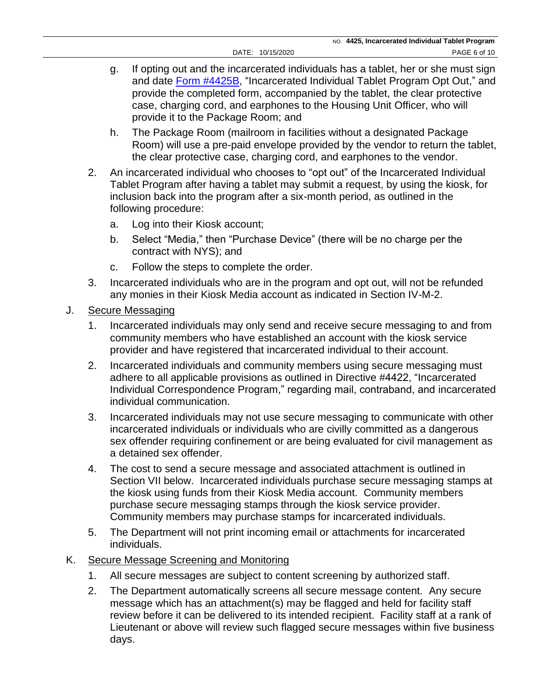- g. If opting out and the incarcerated individuals has a tablet, her or she must sign and date [Form #4425B,](https://doccs.ny.gov/directives/Frm4425B.pdf) "Incarcerated Individual Tablet Program Opt Out," and provide the completed form, accompanied by the tablet, the clear protective case, charging cord, and earphones to the Housing Unit Officer, who will provide it to the Package Room; and
- h. The Package Room (mailroom in facilities without a designated Package Room) will use a pre-paid envelope provided by the vendor to return the tablet, the clear protective case, charging cord, and earphones to the vendor.
- 2. An incarcerated individual who chooses to "opt out" of the Incarcerated Individual Tablet Program after having a tablet may submit a request, by using the kiosk, for inclusion back into the program after a six-month period, as outlined in the following procedure:
	- a. Log into their Kiosk account;
	- b. Select "Media," then "Purchase Device" (there will be no charge per the contract with NYS); and
	- c. Follow the steps to complete the order.
- 3. Incarcerated individuals who are in the program and opt out, will not be refunded any monies in their Kiosk Media account as indicated in Section IV-M-2.
- J. Secure Messaging
	- 1. Incarcerated individuals may only send and receive secure messaging to and from community members who have established an account with the kiosk service provider and have registered that incarcerated individual to their account.
	- 2. Incarcerated individuals and community members using secure messaging must adhere to all applicable provisions as outlined in Directive #4422, "Incarcerated Individual Correspondence Program," regarding mail, contraband, and incarcerated individual communication.
	- 3. Incarcerated individuals may not use secure messaging to communicate with other incarcerated individuals or individuals who are civilly committed as a dangerous sex offender requiring confinement or are being evaluated for civil management as a detained sex offender.
	- 4. The cost to send a secure message and associated attachment is outlined in Section VII below. Incarcerated individuals purchase secure messaging stamps at the kiosk using funds from their Kiosk Media account. Community members purchase secure messaging stamps through the kiosk service provider. Community members may purchase stamps for incarcerated individuals.
	- 5. The Department will not print incoming email or attachments for incarcerated individuals.
- K. Secure Message Screening and Monitoring
	- 1. All secure messages are subject to content screening by authorized staff.
	- 2. The Department automatically screens all secure message content. Any secure message which has an attachment(s) may be flagged and held for facility staff review before it can be delivered to its intended recipient. Facility staff at a rank of Lieutenant or above will review such flagged secure messages within five business days.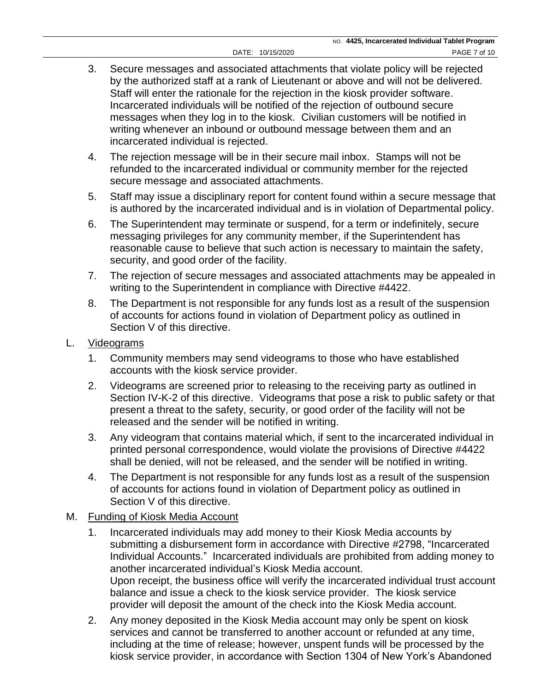- 3. Secure messages and associated attachments that violate policy will be rejected by the authorized staff at a rank of Lieutenant or above and will not be delivered. Staff will enter the rationale for the rejection in the kiosk provider software. Incarcerated individuals will be notified of the rejection of outbound secure messages when they log in to the kiosk. Civilian customers will be notified in writing whenever an inbound or outbound message between them and an incarcerated individual is rejected.
- 4. The rejection message will be in their secure mail inbox. Stamps will not be refunded to the incarcerated individual or community member for the rejected secure message and associated attachments.
- 5. Staff may issue a disciplinary report for content found within a secure message that is authored by the incarcerated individual and is in violation of Departmental policy.
- 6. The Superintendent may terminate or suspend, for a term or indefinitely, secure messaging privileges for any community member, if the Superintendent has reasonable cause to believe that such action is necessary to maintain the safety, security, and good order of the facility.
- 7. The rejection of secure messages and associated attachments may be appealed in writing to the Superintendent in compliance with Directive #4422.
- 8. The Department is not responsible for any funds lost as a result of the suspension of accounts for actions found in violation of Department policy as outlined in Section V of this directive.
- L. Videograms
	- 1. Community members may send videograms to those who have established accounts with the kiosk service provider.
	- 2. Videograms are screened prior to releasing to the receiving party as outlined in Section IV-K-2 of this directive. Videograms that pose a risk to public safety or that present a threat to the safety, security, or good order of the facility will not be released and the sender will be notified in writing.
	- 3. Any videogram that contains material which, if sent to the incarcerated individual in printed personal correspondence, would violate the provisions of Directive #4422 shall be denied, will not be released, and the sender will be notified in writing.
	- 4. The Department is not responsible for any funds lost as a result of the suspension of accounts for actions found in violation of Department policy as outlined in Section V of this directive.
- M. Funding of Kiosk Media Account
	- 1. Incarcerated individuals may add money to their Kiosk Media accounts by submitting a disbursement form in accordance with Directive #2798, "Incarcerated Individual Accounts." Incarcerated individuals are prohibited from adding money to another incarcerated individual's Kiosk Media account. Upon receipt, the business office will verify the incarcerated individual trust account balance and issue a check to the kiosk service provider. The kiosk service provider will deposit the amount of the check into the Kiosk Media account.
	- 2. Any money deposited in the Kiosk Media account may only be spent on kiosk services and cannot be transferred to another account or refunded at any time, including at the time of release; however, unspent funds will be processed by the kiosk service provider, in accordance with Section 1304 of New York's Abandoned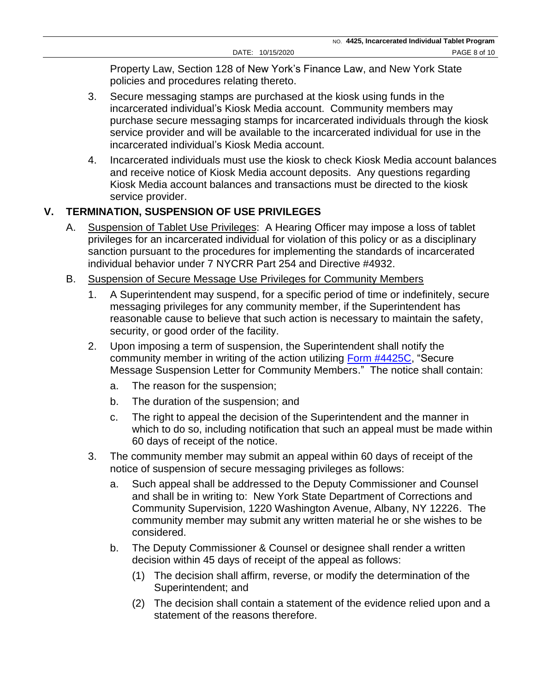Property Law, Section 128 of New York's Finance Law, and New York State policies and procedures relating thereto.

- 3. Secure messaging stamps are purchased at the kiosk using funds in the incarcerated individual's Kiosk Media account. Community members may purchase secure messaging stamps for incarcerated individuals through the kiosk service provider and will be available to the incarcerated individual for use in the incarcerated individual's Kiosk Media account.
- 4. Incarcerated individuals must use the kiosk to check Kiosk Media account balances and receive notice of Kiosk Media account deposits. Any questions regarding Kiosk Media account balances and transactions must be directed to the kiosk service provider.

## **V. TERMINATION, SUSPENSION OF USE PRIVILEGES**

- A. Suspension of Tablet Use Privileges: A Hearing Officer may impose a loss of tablet privileges for an incarcerated individual for violation of this policy or as a disciplinary sanction pursuant to the procedures for implementing the standards of incarcerated individual behavior under 7 NYCRR Part 254 and Directive #4932.
- B. Suspension of Secure Message Use Privileges for Community Members
	- 1. A Superintendent may suspend, for a specific period of time or indefinitely, secure messaging privileges for any community member, if the Superintendent has reasonable cause to believe that such action is necessary to maintain the safety, security, or good order of the facility.
	- 2. Upon imposing a term of suspension, the Superintendent shall notify the community member in writing of the action utilizing [Form #4425C,](https://doccs.ny.gov/directives/Frm4425C.pdf) "Secure Message Suspension Letter for Community Members." The notice shall contain:
		- a. The reason for the suspension;
		- b. The duration of the suspension; and
		- c. The right to appeal the decision of the Superintendent and the manner in which to do so, including notification that such an appeal must be made within 60 days of receipt of the notice.
	- 3. The community member may submit an appeal within 60 days of receipt of the notice of suspension of secure messaging privileges as follows:
		- a. Such appeal shall be addressed to the Deputy Commissioner and Counsel and shall be in writing to: New York State Department of Corrections and Community Supervision, 1220 Washington Avenue, Albany, NY 12226. The community member may submit any written material he or she wishes to be considered.
		- b. The Deputy Commissioner & Counsel or designee shall render a written decision within 45 days of receipt of the appeal as follows:
			- (1) The decision shall affirm, reverse, or modify the determination of the Superintendent; and
			- (2) The decision shall contain a statement of the evidence relied upon and a statement of the reasons therefore.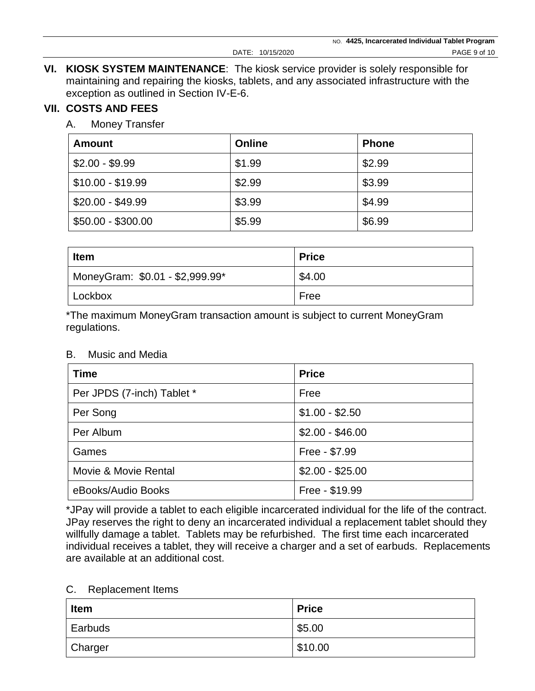**VI. KIOSK SYSTEM MAINTENANCE**: The kiosk service provider is solely responsible for maintaining and repairing the kiosks, tablets, and any associated infrastructure with the exception as outlined in Section IV-E-6.

### **VII. COSTS AND FEES**

A. Money Transfer

| <b>Amount</b>      | Online | <b>Phone</b> |
|--------------------|--------|--------------|
| $$2.00 - $9.99$    | \$1.99 | \$2.99       |
| $$10.00 - $19.99$  | \$2.99 | \$3.99       |
| $$20.00 - $49.99$  | \$3.99 | \$4.99       |
| $$50.00 - $300.00$ | \$5.99 | \$6.99       |

| <b>Item</b>                     | <b>Price</b> |
|---------------------------------|--------------|
| MoneyGram: \$0.01 - \$2,999.99* | \$4.00       |
| Lockbox                         | Free         |

\*The maximum MoneyGram transaction amount is subject to current MoneyGram regulations.

| <b>Time</b>                | <b>Price</b>     |
|----------------------------|------------------|
| Per JPDS (7-inch) Tablet * | Free             |
| Per Song                   | $$1.00 - $2.50$  |
| Per Album                  | $$2.00 - $46.00$ |
| Games                      | Free - \$7.99    |
| Movie & Movie Rental       | $$2.00 - $25.00$ |
| eBooks/Audio Books         | Free - \$19.99   |

\*JPay will provide a tablet to each eligible incarcerated individual for the life of the contract. JPay reserves the right to deny an incarcerated individual a replacement tablet should they willfully damage a tablet. Tablets may be refurbished. The first time each incarcerated individual receives a tablet, they will receive a charger and a set of earbuds. Replacements are available at an additional cost.

#### C. Replacement Items

| Item    | <b>Price</b> |
|---------|--------------|
| Earbuds | \$5.00       |
| Charger | \$10.00      |